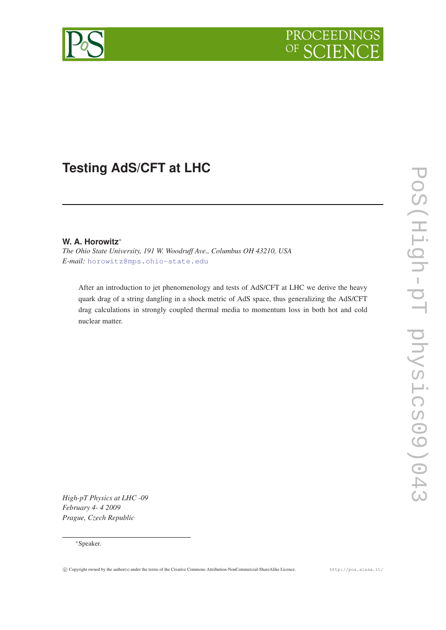

# **Testing AdS/CFT at LHC**

# **W. A. Horowitz**<sup>∗</sup>

*The Ohio State University, 191 W. Woodruff Ave., Columbus OH 43210, USA E-mail:* [horowitz@mps.ohio-state.edu](mailto:horowitz@mps.ohio-state.edu)

After an introduction to jet phenomenology and tests of AdS/CFT at LHC we derive the heavy quark drag of a string dangling in a shock metric of AdS space, thus generalizing the AdS/CFT drag calculations in strongly coupled thermal media to momentum loss in both hot and cold nuclear matter.

*High-pT Physics at LHC -09 February 4- 4 2009 Prague, Czech Republic*

#### <sup>∗</sup>Speaker.

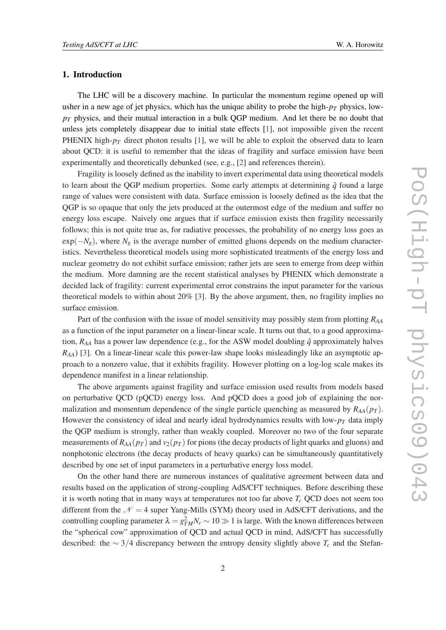#### 1. Introduction

The LHC will be a discovery machine. In particular the momentum regime opened up will usher in a new age of jet physics, which has the unique ability to probe the high- $p_T$  physics, low*p<sup>T</sup>* physics, and their mutual interaction in a bulk QGP medium. And let there be no doubt that unless jets completely disappear due to initial state effects [[1](#page-5-0)], not impossible given the recent PHENIX high- $p_T$  direct photon results [\[1\]](#page-5-0), we will be able to exploit the observed data to learn about QCD: it is useful to remember that the ideas of fragility and surface emission have been experimentally and theoretically debunked (see, e.g., [[2](#page-5-0)] and references therein).

Fragility is loosely defined as the inability to invert experimental data using theoretical models to learn about the QGP medium properties. Some early attempts at determining  $\hat{q}$  found a large range of values were consistent with data. Surface emission is loosely defined as the idea that the QGP is so opaque that only the jets produced at the outermost edge of the medium and suffer no energy loss escape. Naively one argues that if surface emission exists then fragility necessarily follows; this is not quite true as, for radiative processes, the probability of no energy loss goes as  $exp(-N_g)$ , where  $N_g$  is the average number of emitted gluons depends on the medium characteristics. Nevertheless theoretical models using more sophisticated treatments of the energy loss and nuclear geometry do not exhibit surface emission; rather jets are seen to emerge from deep within the medium. More damning are the recent statistical analyses by PHENIX which demonstrate a decided lack of fragility: current experimental error constrains the input parameter for the various theoretical models to within about 20% [\[3](#page-5-0)]. By the above argument, then, no fragility implies no surface emission.

Part of the confusion with the issue of model sensitivity may possibly stem from plotting *RAA* as a function of the input parameter on a linear-linear scale. It turns out that, to a good approximation,  $R_{AA}$  has a power law dependence (e.g., for the ASW model doubling  $\hat{q}$  approximately halves *RAA*) [[3](#page-5-0)]. On a linear-linear scale this power-law shape looks misleadingly like an asymptotic approach to a nonzero value, that it exhibits fragility. However plotting on a log-log scale makes its dependence manifest in a linear relationship.

The above arguments against fragility and surface emission used results from models based on perturbative QCD (pQCD) energy loss. And pQCD does a good job of explaining the normalization and momentum dependence of the single particle quenching as measured by  $R_{AA}(p_T)$ . However the consistency of ideal and nearly ideal hydrodynamics results with low- $p<sub>T</sub>$  data imply the QGP medium is strongly, rather than weakly coupled. Moreover no two of the four separate measurements of  $R_{AA}(p_T)$  and  $v_2(p_T)$  for pions (the decay products of light quarks and gluons) and nonphotonic electrons (the decay products of heavy quarks) can be simultaneously quantitatively described by one set of input parameters in a perturbative energy loss model.

On the other hand there are numerous instances of qualitative agreement between data and results based on the application of strong-coupling AdS/CFT techniques. Before describing these it is worth noting that in many ways at temperatures not too far above *T<sup>c</sup>* QCD does not seem too different from the  $\mathcal{N} = 4$  super Yang-Mills (SYM) theory used in AdS/CFT derivations, and the controlling coupling parameter  $\lambda = g_{YM}^2 N_c \sim 10 \gg 1$  is large. With the known differences between the "spherical cow" approximation of QCD and actual QCD in mind, AdS/CFT has successfully described: the ∼ 3/4 discrepancy between the entropy density slightly above *T<sup>c</sup>* and the Stefan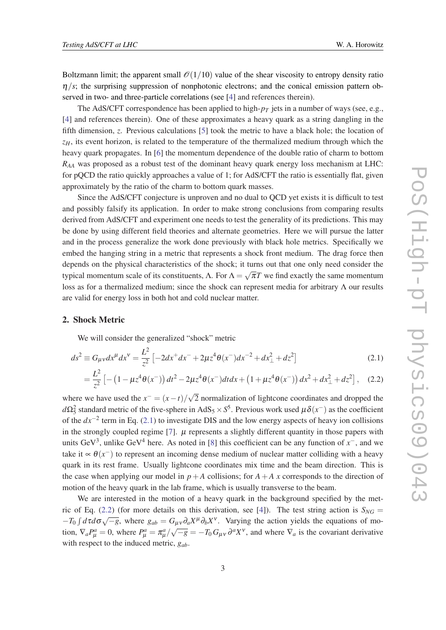<span id="page-2-0"></span>Boltzmann limit; the apparent small  $\mathcal{O}(1/10)$  value of the shear viscosity to entropy density ratio  $\eta/s$ ; the surprising suppression of nonphotonic electrons; and the conical emission pattern observed in two- and three-particle correlations (see [[4](#page-5-0)] and references therein).

The AdS/CFT correspondence has been applied to high- $p_T$  jets in a number of ways (see, e.g., [[4](#page-5-0)] and references therein). One of these approximates a heavy quark as a string dangling in the fifth dimension, *z*. Previous calculations [[5](#page-5-0)] took the metric to have a black hole; the location of *zH*, its event horizon, is related to the temperature of the thermalized medium through which the heavy quark propagates. In [\[6](#page-5-0)] the momentum dependence of the double ratio of charm to bottom *RAA* was proposed as a robust test of the dominant heavy quark energy loss mechanism at LHC: for pQCD the ratio quickly approaches a value of 1; for AdS/CFT the ratio is essentially flat, given approximately by the ratio of the charm to bottom quark masses.

Since the AdS/CFT conjecture is unproven and no dual to QCD yet exists it is difficult to test and possibly falsify its application. In order to make strong conclusions from comparing results derived from AdS/CFT and experiment one needs to test the generality of its predictions. This may be done by using different field theories and alternate geometries. Here we will pursue the latter and in the process generalize the work done previously with black hole metrics. Specifically we embed the hanging string in a metric that represents a shock front medium. The drag force then depends on the physical characteristics of the shock; it turns out that one only need consider the typical momentum scale of its constituents,  $\Lambda$ . For  $\Lambda$  = √  $\overline{\pi}T$  we find exactly the same momentum loss as for a thermalized medium; since the shock can represent media for arbitrary Λ our results are valid for energy loss in both hot and cold nuclear matter.

#### 2. Shock Metric

We will consider the generalized "shock" metric

$$
ds^{2} \equiv G_{\mu\nu}dx^{\mu}dx^{\nu} = \frac{L^{2}}{z^{2}} \left[ -2dx^{+}dx^{-} + 2\mu z^{4}\theta(x^{-})dx^{-2} + dx_{\perp}^{2} + dz^{2} \right]
$$
(2.1)

$$
= \frac{L^2}{z^2} \left[ -\left(1 - \mu z^4 \theta(x^-)\right) dt^2 - 2\mu z^4 \theta(x^-) dt dx + \left(1 + \mu z^4 \theta(x^-)\right) dx^2 + dx_\perp^2 + dz^2 \right], \quad (2.2)
$$

where we have used the  $x^{-} = (x - t)/\sqrt{2}$ 2 normalization of lightcone coordinates and dropped the  $d\Omega_5^2$  standard metric of the five-sphere in AdS<sub>5</sub> × S<sup>5</sup>. Previous work used  $\mu\delta(x^-)$  as the coefficient of the *dx*−<sup>2</sup> term in Eq. (2.1) to investigate DIS and the low energy aspects of heavy ion collisions in the strongly coupled regime [\[7\]](#page-5-0).  $\mu$  represents a slightly different quantity in those papers with units GeV<sup>3</sup>, unlike GeV<sup>4</sup> here. As noted in [[8](#page-5-0)] this coefficient can be any function of  $x^-$ , and we take it  $\propto \theta(x^{-})$  to represent an incoming dense medium of nuclear matter colliding with a heavy quark in its rest frame. Usually lightcone coordinates mix time and the beam direction. This is the case when applying our model in  $p+A$  collisions; for  $A+A$  x corresponds to the direction of motion of the heavy quark in the lab frame, which is usually transverse to the beam.

We are interested in the motion of a heavy quark in the background specified by the met-ric of Eq. (2.2) (for more details on this derivation, see [\[4\]](#page-5-0)). The test string action is  $S_{NG}$  =  $- T_0 \int d\tau d\sigma \sqrt{-g}$ , where *g<sub>ab</sub>* = *G<sub>μν</sub> ∂<sub>a</sub>X<sup>µ</sup>* ∂<sub>*bX*</sub><sup>v</sup>. Varying the action yields the equations of mo- $\nabla_a P^a_\mu = 0$ , where  $P^a_\mu = \frac{\pi^a_\mu}{\sqrt{-g}} = -T_0 G_{\mu\nu} \partial^a X^\nu$ , and where  $\nabla_a$  is the covariant derivative with respect to the induced metric, *gab*.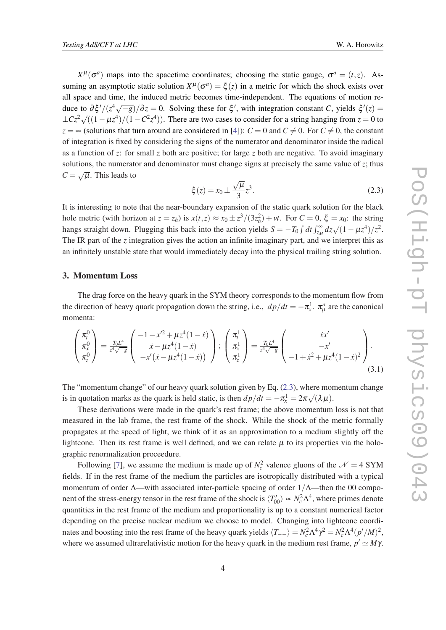<span id="page-3-0"></span> $X^{\mu}(\sigma^a)$  maps into the spacetime coordinates; choosing the static gauge,  $\sigma^a = (t, z)$ . Assuming an asymptotic static solution  $X^{\mu}(\sigma^a) = \xi(z)$  in a metric for which the shock exists over all space and time, the induced metric becomes time-independent. The equations of motion reduce to  $\frac{\partial \xi'}{\partial z} = 0$ . Solving these for ξ', with integration constant *C*, yields  $\xi'(z) =$  $\pm Cz^2\sqrt{((1-\mu z^4)/(1-C^2z^4)})$ . There are two cases to consider for a string hanging from  $z = 0$  to *z* = ∞ (solutions that turn around are considered in [\[4\]](#page-5-0)): *C* = 0 and *C*  $\neq$  0. For *C*  $\neq$  0, the constant of integration is fixed by considering the signs of the numerator and denominator inside the radical as a function of *z*: for small *z* both are positive; for large *z* both are negative. To avoid imaginary solutions, the numerator and denominator must change signs at precisely the same value of *z*; thus  $C = \sqrt{\mu}$ . This leads to

$$
\xi(z) = x_0 \pm \frac{\sqrt{\mu}}{3} z^3.
$$
 (2.3)

It is interesting to note that the near-boundary expansion of the static quark solution for the black hole metric (with horizon at  $z = z_h$ ) is  $x(t, z) \approx x_0 \pm z^3/(3z_h^2) + vt$ . For  $C = 0$ ,  $\xi = x_0$ : the string hangs straight down. Plugging this back into the action yields  $S = -T_0 \int dt \int_{z_M}^{\infty} dz \sqrt{(1 - \mu z^4)} / z^2$ . The IR part of the *z* integration gives the action an infinite imaginary part, and we interpret this as an infinitely unstable state that would immediately decay into the physical trailing string solution.

### 3. Momentum Loss

The drag force on the heavy quark in the SYM theory corresponds to the momentum flow from the direction of heavy quark propagation down the string, i.e.,  $dp/dt = -\pi_x^1$ .  $\pi_\mu^a$  are the canonical momenta:

$$
\begin{pmatrix} \pi_t^0 \\ \pi_x^0 \\ \pi_z^0 \end{pmatrix} = \frac{T_0 L^4}{z^4 \sqrt{-g}} \begin{pmatrix} -1 - x^2 + \mu z^4 (1 - \dot{x}) \\ \dot{x} - \mu z^4 (1 - \dot{x}) \\ -x' (\dot{x} - \mu z^4 (1 - \dot{x})) \end{pmatrix}; \begin{pmatrix} \pi_t^1 \\ \pi_x^1 \\ \pi_z^1 \end{pmatrix} = \frac{T_0 L^4}{z^4 \sqrt{-g}} \begin{pmatrix} \dot{x}x' \\ -x' \\ -1 + \dot{x}^2 + \mu z^4 (1 - \dot{x})^2 \end{pmatrix}.
$$
\n(3.1)

The "momentum change" of our heavy quark solution given by Eq. (2.3), where momentum change is in quotation marks as the quark is held static, is then  $dp/dt = -\pi_x^1 = 2\pi \sqrt{(\lambda \mu)}$ .

These derivations were made in the quark's rest frame; the above momentum loss is not that measured in the lab frame, the rest frame of the shock. While the shock of the metric formally propagates at the speed of light, we think of it as an approximation to a medium slightly off the lightcone. Then its rest frame is well defined, and we can relate  $\mu$  to its properties via the holographic renormalization proceedure.

Following [[7](#page-5-0)], we assume the medium is made up of  $N_c^2$  valence gluons of the  $\mathcal{N} = 4$  SYM fields. If in the rest frame of the medium the particles are isotropically distributed with a typical momentum of order  $\Lambda$ —with associated inter-particle spacing of order  $1/\Lambda$ —then the 00 component of the stress-energy tensor in the rest frame of the shock is  $\langle T'_{00} \rangle \sim N_c^2 \Lambda^4$ , where primes denote quantities in the rest frame of the medium and proportionality is up to a constant numerical factor depending on the precise nuclear medium we choose to model. Changing into lightcone coordinates and boosting into the rest frame of the heavy quark yields  $\langle T_{--} \rangle = N_c^2 \Lambda^4 \gamma^2 = N_c^2 \Lambda^4 (p'/M)^2$ , where we assumed ultrarelativistic motion for the heavy quark in the medium rest frame,  $p' \simeq M\gamma$ .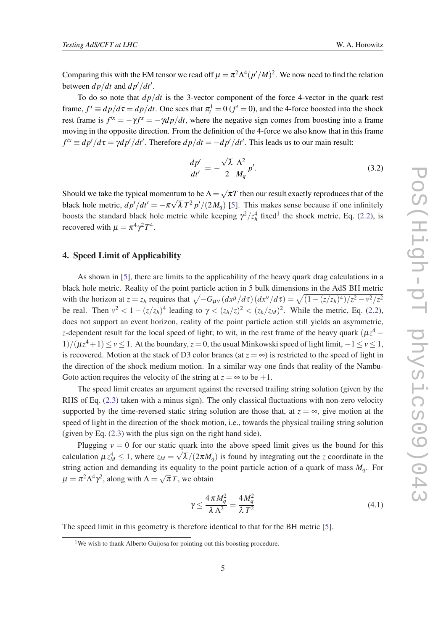Comparing this with the EM tensor we read off  $\mu = \pi^2 \Lambda^4 (p'/M)^2$ . We now need to find the relation between  $dp/dt$  and  $dp'/dt'$ .

To do so note that  $dp/dt$  is the 3-vector component of the force 4-vector in the quark rest frame,  $f^x \equiv dp/d\tau = dp/dt$ . One sees that  $\pi_t^1 = 0$  ( $f^t = 0$ ), and the 4-force boosted into the shock rest frame is  $f^{tx} = -\gamma f^{x} = -\gamma dp/dt$ , where the negative sign comes from boosting into a frame moving in the opposite direction. From the definition of the 4-force we also know that in this frame  $f'^{x} \equiv dp'/d\tau = \gamma dp'/dt'$ . Therefore  $dp/dt = -dp'/dt'$ . This leads us to our main result:

$$
\frac{dp'}{dt'} = -\frac{\sqrt{\lambda}}{2} \frac{\Lambda^2}{M_q} p'.\tag{3.2}
$$

Should we take the typical momentum to be  $\Lambda =$ √ ntum to be  $\Lambda = \sqrt{\pi}T$  then our result exactly reproduces that of the black hole metric,  $dp'/dt' = -\pi \sqrt{\lambda} T^2 p'/(2M_q)$  [[5](#page-5-0)]. This makes sense because if one infinitely boosts the standard black hole metric while keeping  $\gamma^2 / z_h^4$  fixed<sup>1</sup> the shock metric, Eq. ([2.2](#page-2-0)), is recovered with  $\mu = \pi^4 \gamma^2 T^4$ .

#### 4. Speed Limit of Applicability

As shown in [[5](#page-5-0)], there are limits to the applicability of the heavy quark drag calculations in a black hole metric. Reality of the point particle action in 5 bulk dimensions in the AdS BH metric with the horizon at  $z = z_h$  requires that  $\sqrt{-G_{\mu\nu} (dx^{\mu}/d\tau) (dx^{\nu}/d\tau)} = \sqrt{(1 - (z/z_h)^4)/z^2 - v^2/z^2}$ be real. Then  $v^2 < 1 - (z/z_h)^4$  leading to  $\gamma < (z_h/z_l)^2 < (z_h/z_M)^2$ . While the metric, Eq. ([2.2\)](#page-2-0), does not support an event horizon, reality of the point particle action still yields an asymmetric, *z*-dependent result for the local speed of light; to wit, in the rest frame of the heavy quark ( $\mu z^4$  − 1)/( $\mu z^4 + 1$ ) ≤ *v* ≤ 1. At the boundary, *z* = 0, the usual Minkowski speed of light limit, −1 ≤ *v* ≤ 1, is recovered. Motion at the stack of D3 color branes (at  $z = \infty$ ) is restricted to the speed of light in the direction of the shock medium motion. In a similar way one finds that reality of the Nambu-Goto action requires the velocity of the string at  $z = \infty$  to be  $+1$ .

The speed limit creates an argument against the reversed trailing string solution (given by the RHS of Eq. [\(2.3\)](#page-3-0) taken with a minus sign). The only classical fluctuations with non-zero velocity supported by the time-reversed static string solution are those that, at  $z = \infty$ , give motion at the speed of light in the direction of the shock motion, i.e., towards the physical trailing string solution (given by Eq. [\(2.3\)](#page-3-0) with the plus sign on the right hand side).

Plugging  $v = 0$  for our static quark into the above speed limit gives us the bound for this calculation  $\mu z_M^4 \leq 1$ , where  $z_M = \sqrt{\lambda}/(2\pi M_q)$  is found by integrating out the *z* coordinate in the string action and demanding its equality to the point particle action of a quark of mass  $M_q$ . For  $\mu = \pi^2 \Lambda^4 \gamma^2$ , along with  $\Lambda =$ √  $\overline{\pi}T$ , we obtain

$$
\gamma \le \frac{4\pi M_q^2}{\lambda \Lambda^2} = \frac{4M_q^2}{\lambda T^2} \tag{4.1}
$$

The speed limit in this geometry is therefore identical to that for the BH metric [[5](#page-5-0)].

<sup>&</sup>lt;sup>1</sup>We wish to thank Alberto Guijosa for pointing out this boosting procedure.